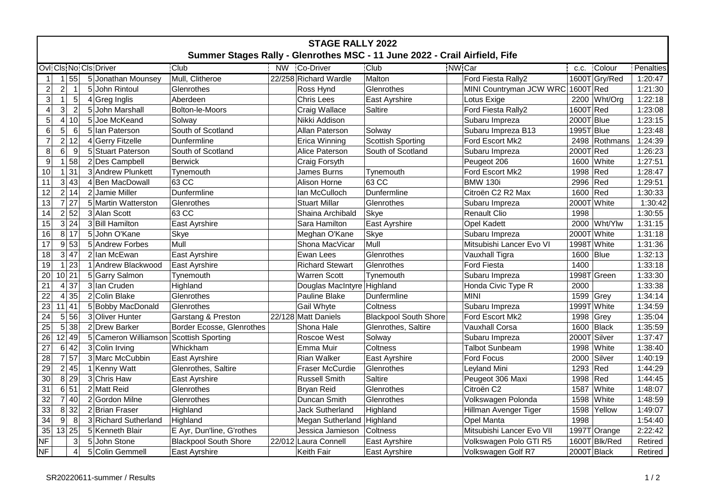| <b>STAGE RALLY 2022</b>                                                    |                                  |                      |                              |  |                            |                              |                                   |                |           |  |  |  |
|----------------------------------------------------------------------------|----------------------------------|----------------------|------------------------------|--|----------------------------|------------------------------|-----------------------------------|----------------|-----------|--|--|--|
| Summer Stages Rally - Glenrothes MSC - 11 June 2022 - Crail Airfield, Fife |                                  |                      |                              |  |                            |                              |                                   |                |           |  |  |  |
| Ovli Cls Not Cls Driver<br>Club                                            |                                  |                      |                              |  | NW Co-Driver               | Club                         | NW <sub>Car</sub>                 | Colour<br>C.C. | Penalties |  |  |  |
| $\mathbf{1}$                                                               | 55<br>$\vert$ 1                  | 5 Jonathan Mounsey   | Mull, Clitheroe              |  | 22/258 Richard Wardle      | Malton                       | Ford Fiesta Rally2                | 1600T Gry/Red  | 1:20:47   |  |  |  |
| $\overline{2}$                                                             | $2 \vert$<br>$\mathbf{1}$        | 5 John Rintoul       | Glenrothes                   |  | Ross Hynd                  | Glenrothes                   | MINI Countryman JCW WRC 1600T Red |                | 1:21:30   |  |  |  |
| $\overline{3}$                                                             | $\mathbf{1}$<br>$5\phantom{.0}$  | 4 Greg Inglis        | Aberdeen                     |  | Chris Lees                 | East Ayrshire                | Lotus Exige                       | 2200 Wht/Org   | 1:22:18   |  |  |  |
| $\overline{\mathbf{4}}$                                                    | 3 <sup>1</sup><br>$\overline{2}$ | 5 John Marshall      | Bolton-le-Moors              |  | Craig Wallace              | Saltire                      | Ford Fiesta Rally2                | 1600T Red      | 1:23:08   |  |  |  |
| $\overline{5}$                                                             | 4 10                             | 5 Joe McKeand        | Solway                       |  | Nikki Addison              |                              | Subaru Impreza                    | 2000T Blue     | 1:23:15   |  |  |  |
| 6                                                                          | 5 <sup>1</sup><br>6              | 5 Ian Paterson       | South of Scotland            |  | Allan Paterson             | Solway                       | Subaru Impreza B13                | 1995T Blue     | 1:23:48   |  |  |  |
| $\overline{7}$                                                             | 212                              | 4 Gerry Fitzelle     | Dunfermline                  |  | Erica Winning              | Scottish Sporting            | Ford Escort Mk2                   | 2498 Rothmans  | 1:24:39   |  |  |  |
| 8                                                                          | $6 \mid$<br>9                    | 5 Stuart Paterson    | South of Scotland            |  | Alice Paterson             | South of Scotland            | Subaru Impreza                    | 2000T Red      | 1:26:23   |  |  |  |
| 9                                                                          | 58<br>1                          | 2 Des Campbell       | <b>Berwick</b>               |  | Craig Forsyth              |                              | Peugeot 206                       | 1600<br>White  | 1:27:51   |  |  |  |
| 10                                                                         | 31<br>$\blacktriangleleft$       | 3 Andrew Plunkett    | Tynemouth                    |  | James Burns                | Tynemouth                    | Ford Escort Mk2                   | 1998<br> Red   | 1:28:47   |  |  |  |
| 11                                                                         | 3 43                             | 4 Ben MacDowall      | 63 CC                        |  | Alison Horne               | 63 CC                        | <b>BMW 130i</b>                   | 2996 Red       | 1:29:51   |  |  |  |
| 12                                                                         | 2 14                             | 2 Jamie Miller       | Dunfermline                  |  | Ian McCulloch              | Dunfermline                  | Citroën C2 R2 Max                 | 1600 Red       | 1:30:33   |  |  |  |
| 13                                                                         | 7 27                             | 5 Martin Watterston  | Glenrothes                   |  | <b>Stuart Millar</b>       | Glenrothes                   | Subaru Impreza                    | 2000T White    | 1:30:42   |  |  |  |
| 14                                                                         | 2 52                             | 3 Alan Scott         | 63 CC                        |  | Shaina Archibald           | Skye                         | <b>Renault Clio</b>               | 1998           | 1:30:55   |  |  |  |
| 15                                                                         | 3 24                             | 3 Bill Hamilton      | East Ayrshire                |  | Sara Hamilton              | East Ayrshire                | <b>Opel Kadett</b>                | 2000 Wht/Ylw   | 1:31:15   |  |  |  |
| 16                                                                         | 8 17                             | 5 John O'Kane        | Skye                         |  | Meghan O'Kane              | Skye                         | Subaru Impreza                    | 2000T White    | 1:31:18   |  |  |  |
| 17                                                                         | 9 53                             | 5 Andrew Forbes      | Mull                         |  | Shona MacVicar             | Mull                         | Mitsubishi Lancer Evo VI          | 1998T White    | 1:31:36   |  |  |  |
| 18                                                                         | 3 47                             | 2 Ian McEwan         | East Ayrshire                |  | Ewan Lees                  | Glenrothes                   | Vauxhall Tigra                    | 1600   Blue    | 1:32:13   |  |  |  |
| 19                                                                         | $1 \overline{23}$                | 1 Andrew Blackwood   | East Ayrshire                |  | <b>Richard Stewart</b>     | Glenrothes                   | Ford Fiesta                       | 1400           | 1:33:18   |  |  |  |
| 20                                                                         | $10$   21                        | 5 Garry Salmon       | Tynemouth                    |  | <b>Warren Scott</b>        | Tynemouth                    | Subaru Impreza                    | 1998T Green    | 1:33:30   |  |  |  |
| 21                                                                         | 37<br>$\overline{4}$             | 3 Ian Cruden         | Highland                     |  | Douglas MacIntyre Highland |                              | Honda Civic Type R                | 2000           | 1:33:38   |  |  |  |
| 22                                                                         | 35<br>$\overline{4}$             | 2 Colin Blake        | Glenrothes                   |  | Pauline Blake              | Dunfermline                  | <b>MINI</b>                       | 1599<br> Grey  | 1:34:14   |  |  |  |
| 23                                                                         | 11 41                            | 5 Bobby MacDonald    | Glenrothes                   |  | Gail Whyte                 | Coltness                     | Subaru Impreza                    | 1999T White    | 1:34:59   |  |  |  |
| 24                                                                         | 5 56                             | 3 Oliver Hunter      | Garstang & Preston           |  | 22/128 Matt Daniels        | <b>Blackpool South Shore</b> | Ford Escort Mk2                   | 1998<br>Grey   | 1:35:04   |  |  |  |
| 25                                                                         | 5 38                             | 2 Drew Barker        | Border Ecosse, Glenrothes    |  | Shona Hale                 | Glenrothes, Saltire          | Vauxhall Corsa                    | 1600<br>Black  | 1:35:59   |  |  |  |
| 26                                                                         | 12 49                            | 5 Cameron Williamson | Scottish Sporting            |  | Roscoe West                | Solway                       | Subaru Impreza                    | 2000T Silver   | 1:37:47   |  |  |  |
| 27                                                                         | 6 42                             | 3 Colin Irving       | Whickham                     |  | Emma Muir                  | Coltness                     | <b>Talbot Sunbeam</b>             | 1998<br>White  | 1:38:40   |  |  |  |
| 28                                                                         | $\overline{7}$<br>57             | 3 Marc McCubbin      | East Ayrshire                |  | <b>Rian Walker</b>         | <b>East Ayrshire</b>         | <b>Ford Focus</b>                 | 2000<br>Silver | 1:40:19   |  |  |  |
| 29                                                                         | 2 45                             | 1 Kenny Watt         | Glenrothes, Saltire          |  | Fraser McCurdie            | Glenrothes                   | Leyland Mini                      | 1293<br> Red   | 1:44:29   |  |  |  |
| 30                                                                         | 8 29                             | 3 Chris Haw          | East Ayrshire                |  | <b>Russell Smith</b>       | Saltire                      | Peugeot 306 Maxi                  | Red<br>1998    | 1:44:45   |  |  |  |
| 31                                                                         | 6 51                             | 2 Matt Reid          | Glenrothes                   |  | Bryan Reid                 | Glenrothes                   | Citroën C2                        | White<br>1587  | 1:48:07   |  |  |  |
| 32                                                                         | 7 40                             | 2 Gordon Milne       | Glenrothes                   |  | Duncan Smith               | Glenrothes                   | Volkswagen Polonda                | 1598<br>White  | 1:48:59   |  |  |  |
| 33                                                                         | 8 32                             | 2Brian Fraser        | Highland                     |  | Jack Sutherland            | Highland                     | Hillman Avenger Tiger             | 1598<br>Yellow | 1:49:07   |  |  |  |
| $\overline{34}$                                                            | 9 <br>8                          | 3 Richard Sutherland | Highland                     |  | Megan Sutherland           | Highland                     | Opel Manta                        | 1998           | 1:54:40   |  |  |  |
| 35                                                                         | 13 25                            | 5 Kenneth Blair      | E Ayr, Dun'line, G'rothes    |  | Jessica Jamieson           | Coltness                     | Mitsubishi Lancer Evo VII         | 1997T Orange   | 2:22:42   |  |  |  |
| <b>NF</b>                                                                  | $\sqrt{3}$                       | 5 John Stone         | <b>Blackpool South Shore</b> |  | 22/012 Laura Connell       | East Ayrshire                | Volkswagen Polo GTI R5            | 1600T Blk/Red  | Retired   |  |  |  |
| <b>NF</b>                                                                  | $\overline{4}$                   | 5 Colin Gemmell      | East Ayrshire                |  | Keith Fair                 | <b>East Ayrshire</b>         | Volkswagen Golf R7                | 2000T Black    | Retired   |  |  |  |